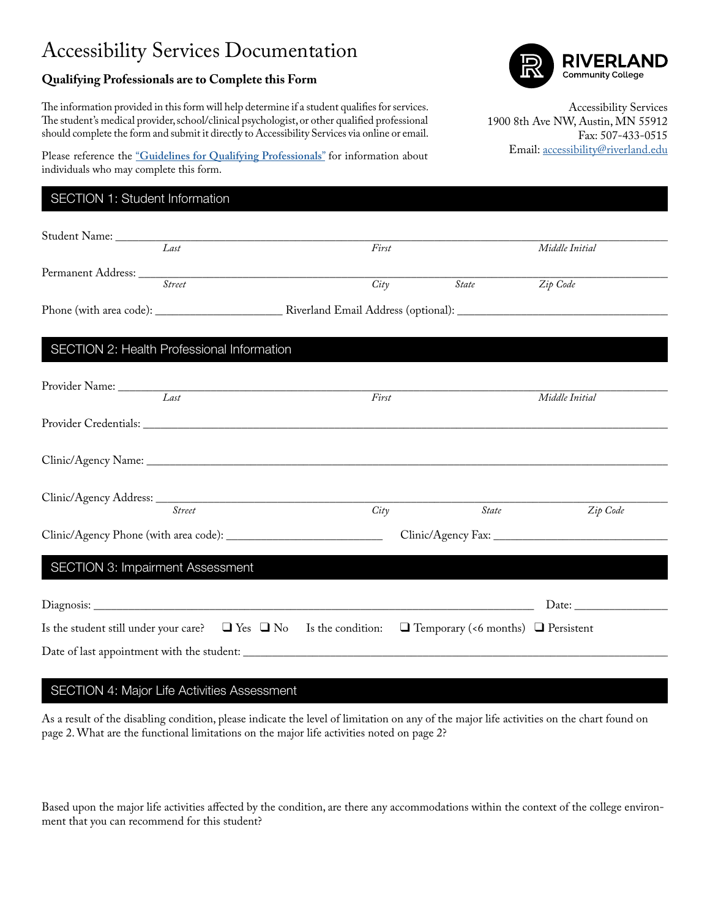## Accessibility Services Documentation

## **Qualifying Professionals are to Complete this Form**

The information provided in this form will help determine if a student qualifies for services. The student's medical provider, school/clinical psychologist, or other qualified professional should complete the form and submit it directly to Accessibility Services via online or email. Community College

Accessibility Services 1900 8th Ave NW, Austin, MN 55912 Fax: 507-433-0515 Email: [accessibility@riverland.edu](mailto:accessibility%40riverland.edu?subject=)

Please reference the "**[Guidelines for Qualifying Professionals](https://www.riverland.edu//index.cfm/student-services/accessibility-services/documentation/guidelines-for-qualifying-professional/)**" for information about individuals who may complete this form.

## SECTION 1: Student Information

| Student Name: <u>Last</u>                                                                                                   |       |                       |                                                        |
|-----------------------------------------------------------------------------------------------------------------------------|-------|-----------------------|--------------------------------------------------------|
|                                                                                                                             | First |                       | Middle Initial                                         |
| Permanent Address: Street                                                                                                   |       |                       |                                                        |
|                                                                                                                             | City  | State <b>Zip</b> Code |                                                        |
|                                                                                                                             |       |                       |                                                        |
|                                                                                                                             |       |                       |                                                        |
| SECTION 2: Health Professional Information                                                                                  |       |                       |                                                        |
|                                                                                                                             |       |                       |                                                        |
| Provider Name: Last                                                                                                         | First |                       | Middle Initial                                         |
|                                                                                                                             |       |                       |                                                        |
|                                                                                                                             |       |                       |                                                        |
|                                                                                                                             |       |                       |                                                        |
|                                                                                                                             |       |                       |                                                        |
| Street                                                                                                                      | City  | <i>State</i>          | Zip Code                                               |
|                                                                                                                             |       |                       |                                                        |
|                                                                                                                             |       |                       |                                                        |
| <b>SECTION 3: Impairment Assessment</b>                                                                                     |       |                       |                                                        |
|                                                                                                                             |       |                       |                                                        |
|                                                                                                                             |       |                       | Date: $\frac{1}{\sqrt{1-\frac{1}{2}}\cdot\frac{1}{2}}$ |
| Is the student still under your care? $\Box$ Yes $\Box$ No Is the condition: $\Box$ Temporary (<6 months) $\Box$ Persistent |       |                       |                                                        |
|                                                                                                                             |       |                       |                                                        |

#### SECTION 4: Major Life Activities Assessment

As a result of the disabling condition, please indicate the level of limitation on any of the major life activities on the chart found on page 2. What are the functional limitations on the major life activities noted on page 2?

Based upon the major life activities affected by the condition, are there any accommodations within the context of the college environment that you can recommend for this student?